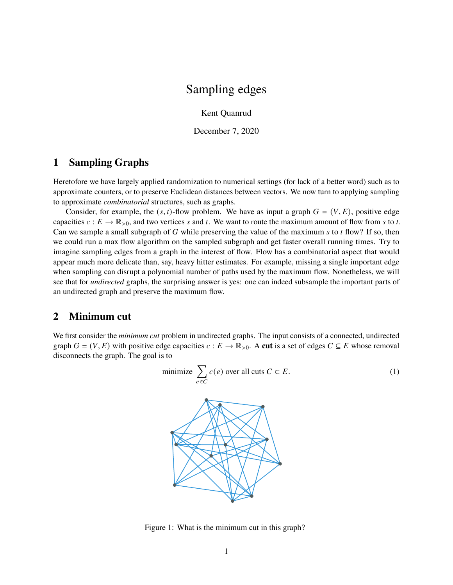# Sampling edges

Kent Quanrud

December 7, 2020

## <span id="page-0-1"></span>**1 Sampling Graphs**

Heretofore we have largely applied randomization to numerical settings (for lack of a better word) such as to approximate counters, or to preserve Euclidean distances between vectors. We now turn to applying sampling to approximate *combinatorial* structures, such as graphs.

Consider, for example, the  $(s, t)$ -flow problem. We have as input a graph  $G = (V, E)$ , positive edge capacities  $c: E \to \mathbb{R}_{>0}$ , and two vertices s and t. We want to route the maximum amount of flow from s to t. Can we sample a small subgraph of  $G$  while preserving the value of the maximum  $s$  to  $t$  flow? If so, then we could run a max flow algorithm on the sampled subgraph and get faster overall running times. Try to imagine sampling edges from a graph in the interest of flow. Flow has a combinatorial aspect that would appear much more delicate than, say, heavy hitter estimates. For example, missing a single important edge when sampling can disrupt a polynomial number of paths used by the maximum flow. Nonetheless, we will see that for *undirected* graphs, the surprising answer is yes: one can indeed subsample the important parts of an undirected graph and preserve the maximum flow.

### <span id="page-0-2"></span>**2 Minimum cut**

We first consider the *minimum cut* problem in undirected graphs. The input consists of a connected, undirected graph  $G = (V, E)$  with positive edge capacities  $c : E \to \mathbb{R}_{>0}$ . A **cut** is a set of edges  $C \subseteq E$  whose removal disconnects the graph. The goal is to

$$
\text{minimize } \sum_{e \in C} c(e) \text{ over all cuts } C \subset E. \tag{1}
$$



<span id="page-0-0"></span>Figure 1: What is the minimum cut in this graph?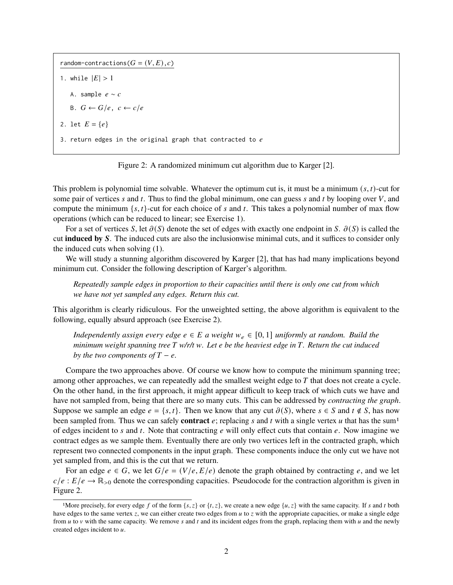random-contractions( $G = (V, E), c$ ) 1. while  $|E| > 1$ A. sample  $e \sim c$ B.  $G \leftarrow G/e$ ,  $c \leftarrow c/e$ 2. let  $E = \{e\}$ 3. return edges in the original graph that contracted to  $e$ 

<span id="page-1-0"></span>

This problem is polynomial time solvable. Whatever the optimum cut is, it must be a minimum  $(s, t)$ -cut for some pair of vertices  $s$  and  $t$ . Thus to find the global minimum, one can guess  $s$  and  $t$  by looping over  $V$ , and compute the minimum  $\{s, t\}$ -cut for each choice of s and t. This takes a polynomial number of max flow operations (which can be reduced to linear; see [Exercise 1\)](#page-14-0).

For a set of vertices S, let  $\partial(S)$  denote the set of edges with exactly one endpoint in S.  $\partial(S)$  is called the cut **induced by** S. The induced cuts are also the inclusionwise minimal cuts, and it suffices to consider only the induced cuts when solving [\(1\).](#page-0-0)

We will study a stunning algorithm discovered by Karger [\[2\]](#page-15-0), that has had many implications beyond minimum cut. Consider the following description of Karger's algorithm.

*Repeatedly sample edges in proportion to their capacities until there is only one cut from which we have not yet sampled any edges. Return this cut.*

This algorithm is clearly ridiculous. For the unweighted setting, the above algorithm is equivalent to the following, equally absurd approach (see [Exercise 2\)](#page-14-1).

*Independently assign every edge*  $e \in E$  *a* weight  $w_e \in [0, 1]$  *uniformly at random. Build the minimum weight spanning tree* T w/r/t w. Let e be the heaviest edge in T. Return the cut induced *by the two components of*  $T - e$ *.* 

Compare the two approaches above. Of course we know how to compute the minimum spanning tree; among other approaches, we can repeatedly add the smallest weight edge to  $T$  that does not create a cycle. On the other hand, in the first approach, it might appear difficult to keep track of which cuts we have and have not sampled from, being that there are so many cuts. This can be addressed by *contracting the graph*. Suppose we sample an edge  $e = \{s, t\}$ . Then we know that any cut  $\partial(S)$ , where  $s \in S$  and  $t \notin S$ , has now been sampled from. Thus we can safely **contract**  $e$ ; replacing s and t with a single vertex u that has the sum<sup>[1](#page-0-1)</sup> of edges incident to  $s$  and  $t$ . Note that contracting  $e$  will only effect cuts that contain  $e$ . Now imagine we contract edges as we sample them. Eventually there are only two vertices left in the contracted graph, which represent two connected components in the input graph. These components induce the only cut we have not yet sampled from, and this is the cut that we return.

For an edge  $e \in G$ , we let  $G/e = (V/e, E/e)$  denote the graph obtained by contracting e, and we let  $c/e : E/e \rightarrow \mathbb{R}_{>0}$  denote the corresponding capacities. Pseudocode for the contraction algorithm is given in [Figure 2.](#page-1-0)

<sup>&</sup>lt;sup>1</sup>More precisely, for every edge f of the form {s, z} or {t, z}, we create a new edge {u, z} with the same capacity. If s and t both have edges to the same vertex  $z$ , we can either create two edges from  $u$  to  $z$  with the appropriate capacities, or make a single edge from  $u$  to  $v$  with the same capacity. We remove  $s$  and  $t$  and its incident edges from the graph, replacing them with  $u$  and the newly created edges incident to  $u$ .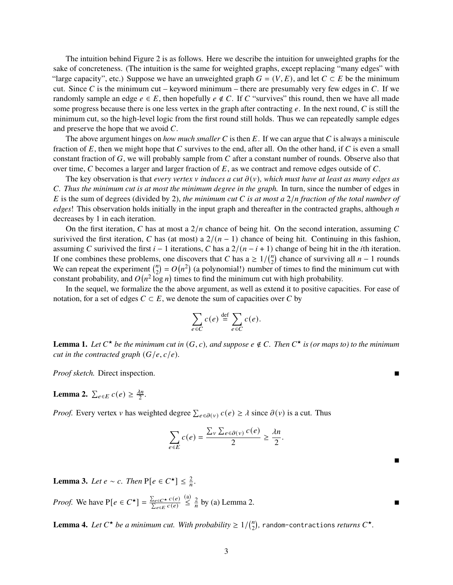The intuition behind [Figure 2](#page-1-0) is as follows. Here we describe the intuition for unweighted graphs for the sake of concreteness. (The intuition is the same for weighted graphs, except replacing "many edges" with "large capacity", etc.) Suppose we have an unweighted graph  $G = (V, E)$ , and let  $C \subset E$  be the minimum cut. Since C is the minimum cut – keyword minimum – there are presumably very few edges in C. If we randomly sample an edge  $e \in E$ , then hopefully  $e \notin C$ . If C "survives" this round, then we have all made some progress because there is one less vertex in the graph after contracting  $e$ . In the next round, C is still the minimum cut, so the high-level logic from the first round still holds. Thus we can repeatedly sample edges and preserve the hope that we avoid  $C$ .

The above argument hinges on *how much smaller*  $C$  is then  $E$ . If we can argue that  $C$  is always a miniscule fraction of  $E$ , then we might hope that  $C$  survives to the end, after all. On the other hand, if  $C$  is even a small constant fraction of  $G$ , we will probably sample from  $C$  after a constant number of rounds. Observe also that over time, C becomes a larger and larger fraction of  $E$ , as we contract and remove edges outside of  $C$ .

The key observation is that *every vertex*  $\nu$  *induces a cut*  $\partial(\nu)$ *, which must have at least as many edges as* 𝐶*. Thus the minimum cut is at most the minimum degree in the graph.* In turn, since the number of edges in E is the sum of degrees (divided by 2), *the minimum cut* C *is at most a*  $2/n$  *fraction of the total number of edges*! This observation holds initially in the input graph and thereafter in the contracted graphs, although n decreases by 1 in each iteration.

On the first iteration, C has at most a  $2/n$  chance of being hit. On the second interation, assuming C surivived the first iteration, C has (at most) a  $2/(n-1)$  chance of being hit. Continuing in this fashion, assuming C surivived the first  $i - 1$  iterations, C has a  $2/(n - i + 1)$  change of being hit in the *i*th iteration. If one combines these problems, one discovers that C has a  $\geq 1/(n^2)$  $n_2$ ) chance of surviving all  $n - 1$  rounds We can repeat the experiment  $\binom{n}{2}$  $Z_2^n$  =  $O(n^2)$  (a polynomial!) number of times to find the minimum cut with constant probability, and  $O(n^2 \log n)$  times to find the minimum cut with high probability.

In the sequel, we formalize the the above argument, as well as extend it to positive capacities. For ease of notation, for a set of edges  $C \subset E$ , we denote the sum of capacities over C by

$$
\sum_{e \in C} c(e) \stackrel{\text{def}}{=} \sum_{e \in C} c(e).
$$

**Lemma 1.** Let  $C^*$  be the minimum cut in  $(G, c)$ , and suppose  $e \notin C$ . Then  $C^*$  is (or maps to) to the minimum *cut in the contracted graph*  $(G/e, c/e)$ *.* 

*Proof sketch.* Direct inspection. ■

<span id="page-2-0"></span>**Lemma 2.**  $\sum_{e \in E} c(e) \geq \frac{\lambda n}{2}$  $\frac{\ln}{2}$ .

*Proof.* Every vertex v has weighted degree  $\sum_{e \in \partial(v)} c(e) \ge \lambda$  since  $\partial(v)$  is a cut. Thus

$$
\sum_{e \in E} c(e) = \frac{\sum_{v} \sum_{e \in \partial(v)} c(e)}{2} \ge \frac{\lambda n}{2}.
$$

<span id="page-2-1"></span>**Lemma 3.** *Let*  $e \sim c$ . *Then*  $P[e \in C^{\star}] \leq \frac{2}{n}$ .

*Proof.* We have  $P[e \in C^{\star}] = \frac{\sum_{e \in C^{\star}} c(e)}{\sum_{e \in C^{\star}} c(e)}$  $\sum_{e \in E} c(e)$  $\leq \frac{2}{n}$  by (a) [Lemma 2.](#page-2-0)

**Lemma 4.** Let  $C^*$  be a minimum cut. With probability  $\geq 1/\binom{n}{2}$  $\binom{n}{2}$ , random-contractions *returns*  $C^{\star}$ .

 $\blacksquare$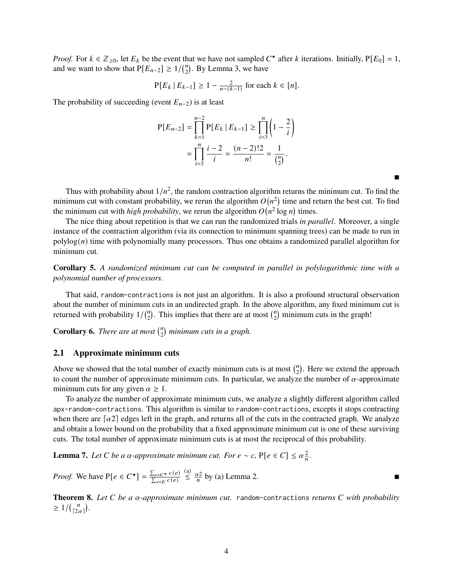*Proof.* For  $k \in \mathbb{Z}_{\geq 0}$ , let  $E_k$  be the event that we have not sampled  $C^*$  after k iterations. Initially,  $P[E_0] = 1$ , and we want to show that  $P[E_{n-2}] \geq 1/(n \choose 2)$  $n_2$ ). By [Lemma 3,](#page-2-1) we have

$$
P[E_k | E_{k-1}] \ge 1 - \frac{2}{n - (k-1)} \text{ for each } k \in [n].
$$

The probability of succeeding (event  $E_{n-2}$ ) is at least

$$
P[E_{n-2}] = \prod_{k=1}^{n-2} P[E_k | E_{k-1}] \ge \prod_{i=3}^{n} \left(1 - \frac{2}{i}\right)
$$
  
= 
$$
\prod_{i=3}^{n} \frac{i-2}{i} = \frac{(n-2)!2}{n!} = \frac{1}{\binom{n}{2}}.
$$

Thus with probability about  $1/n^2$ , the random contraction algorithm returns the minimum cut. To find the minimum cut with constant probability, we rerun the algorithm  $O(n^2)$  time and return the best cut. To find the minimum cut with *high probability*, we rerun the algorithm  $O(n^2 \log n)$  times.

É

The nice thing about repetition is that we can run the randomized trials *in parallel*. Moreover, a single instance of the contraction algorithm (via its connection to minimum spanning trees) can be made to run in  $polylog(n)$  time with polynomially many processors. Thus one obtains a randomized parallel algorithm for minimum cut.

**Corollary 5.** *A randomized minimum cut can be computed in parallel in polylogarithmic time with a polynomial number of processors.*

That said, random-contractions is not just an algorithm. It is also a profound structural observation about the number of minimum cuts in an undirected graph. In the above algorithm, any fixed minimum cut is returned with probability  $1/\binom{n}{2}$  $\binom{n}{2}$ . This implies that there are at most  $\binom{n}{2}$  $n_2$ ) minimum cuts in the graph!

**Corollary 6.** *There are at most*  $\binom{n}{2}$ 2 *minimum cuts in a graph.*

#### <span id="page-3-0"></span>**2.1 Approximate minimum cuts**

Above we showed that the total number of exactly minimum cuts is at most  $\binom{n}{2}$  $n_2$ ). Here we extend the approach to count the number of approximate minimum cuts. In particular, we analyze the number of  $\alpha$ -approximate minimum cuts for any given  $\alpha \geq 1$ .

To analyze the number of approximate minimum cuts, we analyze a slightly different algorithm called apx-random-contractions. This algorithm is similar to random-contractions, excepts it stops contracting when there are  $\lceil \alpha^2 \rceil$  edges left in the graph, and returns all of the cuts in the contracted graph. We analyze and obtain a lower bound on the probability that a fixed approximate minimum cut is one of these surviving cuts. The total number of approximate minimum cuts is at most the reciprocal of this probability.

**Lemma 7.** *Let C be a* α-*approximate minimum cut. For e* ∼ *c*, P[e ∈ *C*] ≤  $\alpha$ <sub>*a*</sub><sup>2</sup>.

*Proof.* We have  $P[e \in C^{\star}] = \frac{\sum_{e \in C^{\star}} c(e)}{\sum_{e \in C^{\star}} c(e)}$  $\sum_{e \in E} c(e)$  $\leq \frac{\alpha_2}{n}$  by (a) [Lemma 2.](#page-2-0)

**Theorem 8.** Let C be a α-approximate minimum cut. random-contractions returns C with probability  $\geq 1/(\frac{n}{2})$  $\binom{n}{2\alpha}$ .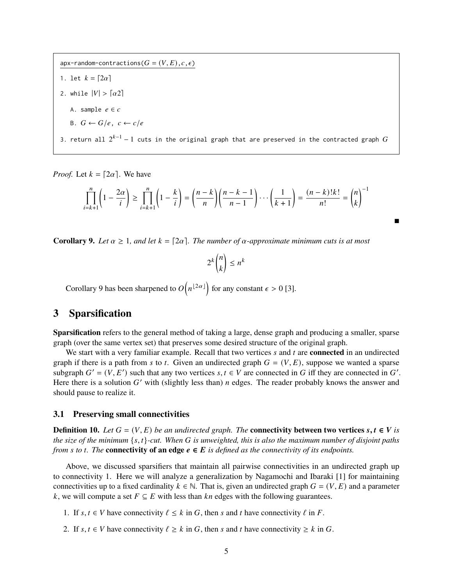apx-random-contractions( $G = (V, E), c, \epsilon$ ) 1. let  $k = \lceil 2\alpha \rceil$ 2. while  $|V| > \lceil \alpha 2 \rceil$ A. sample  $e \in c$ B.  $G \leftarrow G/e$ ,  $c \leftarrow c/e$ 

3. return all  $2^{k-1}-1$  cuts in the original graph that are preserved in the contracted graph  $G$ 

*Proof.* Let  $k = \lfloor 2\alpha \rfloor$ . We have

$$
\prod_{i=k+1}^{n} \left(1 - \frac{2\alpha}{i}\right) \ge \prod_{i=k+1}^{n} \left(1 - \frac{k}{i}\right) = \left(\frac{n-k}{n}\right) \left(\frac{n-k-1}{n-1}\right) \cdots \left(\frac{1}{k+1}\right) = \frac{(n-k)!k!}{n!} = \binom{n}{k}^{-1}
$$

É

<span id="page-4-0"></span>**Corollary 9.** Let  $\alpha \geq 1$ , and let  $k = \lfloor 2\alpha \rfloor$ . The number of  $\alpha$ -approximate minimum cuts is at most

$$
2^k \binom{n}{k} \le n^k
$$

[Corollary 9](#page-4-0) has been sharpened to  $O(n^{\lfloor 2\alpha \rfloor})$  for any constant  $\epsilon > 0$  [\[3\]](#page-15-1).

## **3 Sparsification**

**Sparsification** refers to the general method of taking a large, dense graph and producing a smaller, sparse graph (over the same vertex set) that preserves some desired structure of the original graph.

We start with a very familiar example. Recall that two vertices  $s$  and  $t$  are **connected** in an undirected graph if there is a path from s to t. Given an undirected graph  $G = (V, E)$ , suppose we wanted a sparse subgraph  $G' = (V, E')$  such that any two vertices  $s, t \in V$  are connected in G iff they are connected in G'. Here there is a solution  $G'$  with (slightly less than) *n* edges. The reader probably knows the answer and should pause to realize it.

#### <span id="page-4-1"></span>**3.1 Preserving small connectivities**

**Definition 10.** *Let*  $G = (V, E)$  *be an undirected graph. The* **connectivity between two vertices**  $s, t \in V$  **is** *the size of the minimum* {𝑠, 𝑡}*-cut. When* 𝐺 *is unweighted, this is also the maximum number of disjoint paths from s to t*. The **connectivity of an edge**  $e \in E$  *is defined as the connectivity of its endpoints.* 

Above, we discussed sparsifiers that maintain all pairwise connectivities in an undirected graph up to connectivity 1. Here we will analyze a generalization by Nagamochi and Ibaraki [\[1\]](#page-15-2) for maintaining connectivities up to a fixed cardinality  $k \in \mathbb{N}$ . That is, given an undirected graph  $G = (V, E)$  and a parameter k, we will compute a set  $F \subseteq E$  with less than kn edges with the following guarantees.

1. If  $s, t \in V$  have connectivity  $\ell \leq k$  in G, then s and t have connectivity  $\ell$  in F.

2. If  $s, t \in V$  have connectivity  $\ell \geq k$  in G, then s and t have connectivity  $\geq k$  in G.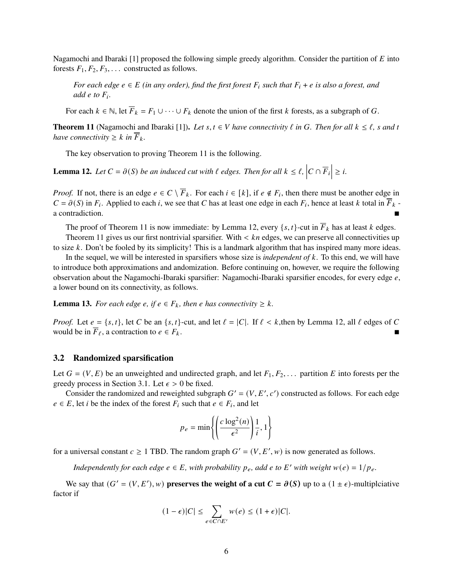Nagamochi and Ibaraki [\[1\]](#page-15-2) proposed the following simple greedy algorithm. Consider the partition of  $E$  into forests  $F_1, F_2, F_3, \ldots$  constructed as follows.

*For each edge*  $e \in E$  *(in any order), find the first forest*  $F_i$  *such that*  $F_i + e$  *is also a forest, and add*  $e$  *to*  $F_i$ .

For each  $k \in \mathbb{N}$ , let  $\overline{F}_k = F_1 \cup \cdots \cup F_k$  denote the union of the first k forests, as a subgraph of G.

<span id="page-5-0"></span>**Theorem 11** (Nagamochi and Ibaraki [\[1\]](#page-15-2)). Let  $s, t \in V$  have connectivity  $\ell$  in G. Then for all  $k \leq \ell$ , s and t *have connectivity*  $\geq k$  *in*  $\overline{F}_k$ *.* 

The key observation to proving [Theorem 11](#page-5-0) is the following.

<span id="page-5-1"></span>**Lemma 12.** Let  $C = \partial(S)$  be an induced cut with  $\ell$  edges. Then for all  $k \leq \ell$ ,  $|C \cap \overline{F}_i| \geq i$ .

*Proof.* If not, there is an edge  $e \in C \setminus \overline{F}_k$ . For each  $i \in [k]$ , if  $e \notin F_i$ , then there must be another edge in  $C = \partial(S)$  in  $F_i$ . Applied to each i, we see that C has at least one edge in each  $F_i$ , hence at least k total in  $\overline{F}_k$  a contradiction.

The proof of [Theorem 11](#page-5-0) is now immediate: by [Lemma 12,](#page-5-1) every  $\{s, t\}$ -cut in  $\overline{F}_k$  has at least k edges.

[Theorem 11](#page-5-0) gives us our first nontrivial sparsifier. With  $\lt k n$  edges, we can preserve all connectivities up to size  $k$ . Don't be fooled by its simplicity! This is a landmark algorithm that has inspired many more ideas.

In the sequel, we will be interested in sparsifiers whose size is *independent of* k. To this end, we will have to introduce both approximations and andomization. Before continuing on, however, we require the following observation about the Nagamochi-Ibaraki sparsifier: Nagamochi-Ibaraki sparsifier encodes, for every edge  $e$ , a lower bound on its connectivity, as follows.

**Lemma 13.** *For each edge e, if*  $e \in F_k$ *, then e has connectivity*  $\geq k$ *.* 

*Proof.* Let  $e = \{s, t\}$ , let C be an  $\{s, t\}$ -cut, and let  $\ell = |C|$ . If  $\ell < k$ , then by [Lemma 12,](#page-5-1) all  $\ell$  edges of C would be in  $\overline{F}_{\ell}$ , a contraction to  $e \in F_k$ .

#### <span id="page-5-2"></span>**3.2 Randomized sparsification**

Let  $G = (V, E)$  be an unweighted and undirected graph, and let  $F_1, F_2, \ldots$  partition E into forests per the greedy process in [Section 3.1.](#page-4-1) Let  $\epsilon > 0$  be fixed.

Consider the randomized and reweighted subgraph  $G' = (V, E', c')$  constructed as follows. For each edge  $e \in E$ , let *i* be the index of the forest  $F_i$  such that  $e \in F_i$ , and let

$$
p_e = \min\left\{ \left( \frac{c \log^2(n)}{\epsilon^2} \right) \frac{1}{i}, 1 \right\}
$$

for a universal constant  $c \ge 1$  TBD. The random graph  $G' = (V, E', w)$  is now generated as follows.

*Independently for each edge*  $e \in E$ *, with probability*  $p_e$ *, add*  $e$  *to*  $E'$  *with weight*  $w(e) = 1/p_e$ *.* 

We say that  $(G' = (V, E'), w)$  preserves the weight of a cut  $C = \partial(S)$  up to a  $(1 \pm \epsilon)$ -multiplciative factor if

$$
(1-\epsilon)|C| \leq \sum_{e \in C \cap E'} w(e) \leq (1+\epsilon)|C|.
$$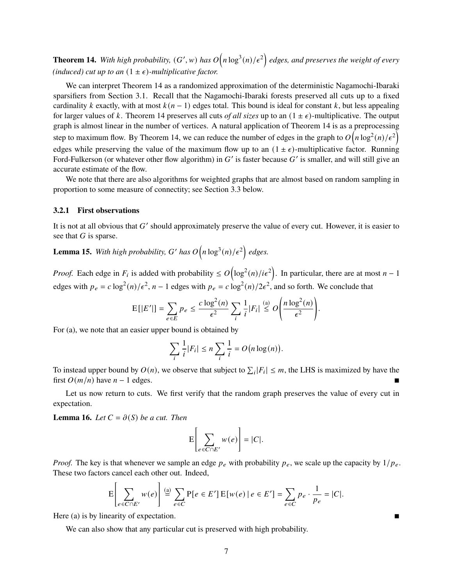<span id="page-6-0"></span>**Theorem 14.** With high probability,  $(G', w)$  has  $O(n \log^3(n)/\epsilon^2)$  edges, and preserves the weight of every *(induced) cut up to an*  $(1 \pm \epsilon)$ *-multiplicative factor.* 

We can interpret [Theorem 14](#page-6-0) as a randomized approximation of the deterministic Nagamochi-Ibaraki sparsifiers from [Section 3.1.](#page-4-1) Recall that the Nagamochi-Ibaraki forests preserved all cuts up to a fixed cardinality k exactly, with at most  $k(n-1)$  edges total. This bound is ideal for constant k, but less appealing for larger values of k. [Theorem 14](#page-6-0) preserves all cuts *of all sizes* up to an  $(1 \pm \epsilon)$ -multiplicative. The output graph is almost linear in the number of vertices. A natural application of [Theorem 14](#page-6-0) is as a preprocessing step to maximum flow. By [Theorem 14,](#page-6-0) we can reduce the number of edges in the graph to  $O(n \log^2(n)/\epsilon^2)$ edges while preserving the value of the maximum flow up to an  $(1 \pm \epsilon)$ -multiplicative factor. Running Ford-Fulkerson (or whatever other flow algorithm) in  $G'$  is faster because  $G'$  is smaller, and will still give an accurate estimate of the flow.

We note that there are also algorithms for weighted graphs that are almost based on random sampling in proportion to some measure of connectity; see [Section 3.3](#page-10-0) below.

#### **3.2.1 First observations**

It is not at all obvious that  $G'$  should approximately preserve the value of every cut. However, it is easier to see that  $G$  is sparse.

<span id="page-6-2"></span>**Lemma 15.** With high probability, G' has  $O(n \log^3(n)/\epsilon^2)$  edges.

*Proof.* Each edge in  $F_i$  is added with probability  $\leq O(\log^2(n)/i\epsilon^2)$ . In particular, there are at most  $n-1$ edges with  $p_e = c \log^2(n)/\epsilon^2$ ,  $n-1$  edges with  $p_e = c \log^2(n)/2\epsilon^2$ , and so forth. We conclude that

$$
E[|E'|] = \sum_{e \in E} p_e \leq \frac{c \log^2(n)}{\epsilon^2} \sum_i \frac{1}{i} |F_i| \stackrel{\text{(a)}}{\leq} O\left(\frac{n \log^2(n)}{\epsilon^2}\right).
$$

For (a), we note that an easier upper bound is obtained by

$$
\sum_{i} \frac{1}{i} |F_i| \le n \sum_{i} \frac{1}{i} = O(n \log(n)).
$$

To instead upper bound by  $O(n)$ , we observe that subject to  $\sum_i |F_i| \leq m$ , the LHS is maximized by have the first  $O(m/n)$  have  $n-1$  edges.

Let us now return to cuts. We first verify that the random graph preserves the value of every cut in expectation.

<span id="page-6-1"></span>**Lemma 16.** *Let*  $C = \partial(S)$  *be a cut. Then* 

$$
E\left[\sum_{e \in C \cap E'} w(e)\right] = |C|.
$$

*Proof.* The key is that whenever we sample an edge  $p_e$  with probability  $p_e$ , we scale up the capacity by  $1/p_e$ . These two factors cancel each other out. Indeed,

$$
E\left[\sum_{e \in C \cap E'} w(e)\right] \stackrel{\text{(a)}}{=} \sum_{e \in C} P[e \in E'] E[w(e) \mid e \in E'] = \sum_{e \in C} p_e \cdot \frac{1}{p_e} = |C|.
$$

Here (a) is by linearity of expectation.

We can also show that any particular cut is preserved with high probability.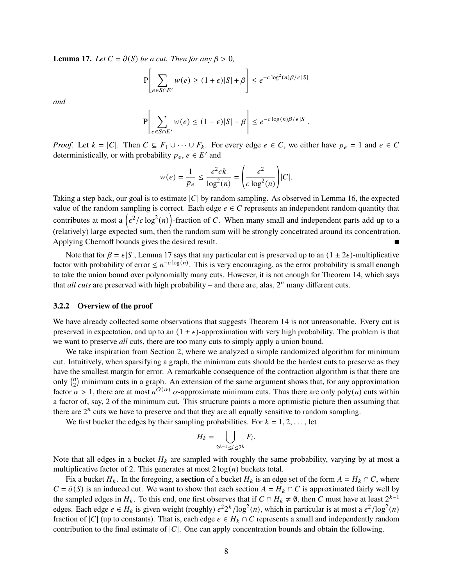<span id="page-7-0"></span>**Lemma 17.** *Let*  $C = \partial(S)$  *be a cut. Then for any*  $\beta > 0$ *,* 

$$
\mathbb{P}\left[\sum_{e \in S \cap E'} w(e) \ge (1+\epsilon)|S| + \beta\right] \le e^{-c\log^2(n)\beta/\epsilon|S|}
$$

*and*

$$
\mathbf{P}\left[\sum_{e \in S \cap E'} w(e) \le (1 - \epsilon) |S| - \beta\right] \le e^{-c \log(n) \beta / \epsilon |S|}.
$$

*Proof.* Let  $k = |C|$ . Then  $C \subseteq F_1 \cup \cdots \cup F_k$ . For every edge  $e \in C$ , we either have  $p_e = 1$  and  $e \in C$ deterministically, or with probability  $p_e, e \in E'$  and

$$
w(e) = \frac{1}{p_e} \le \frac{\epsilon^2 c k}{\log^2(n)} = \left(\frac{\epsilon^2}{c \log^2(n)}\right) |C|.
$$

Taking a step back, our goal is to estimate  $|C|$  by random sampling. As observed in [Lemma 16,](#page-6-1) the expected value of the random sampling is correct. Each edge  $e \in C$  represents an independent random quantity that contributes at most a  $(\epsilon^2/c \log^2(n))$ -fraction of C. When many small and independent parts add up to a (relatively) large expected sum, then the random sum will be strongly concetrated around its concentration. Applying Chernoff bounds gives the desired result.

Note that for  $\beta = \epsilon |S|$ , [Lemma 17](#page-7-0) says that any particular cut is preserved up to an  $(1 \pm 2\epsilon)$ -multiplicative factor with probability of error  $\leq n^{-c \log(n)}$ . This is very encouraging, as the error probability is small enough to take the union bound over polynomially many cuts. However, it is not enough for [Theorem 14,](#page-6-0) which says that *all cuts* are preserved with high probability – and there are, alas,  $2^n$  many different cuts.

#### **3.2.2 Overview of the proof**

We have already collected some observations that suggests [Theorem 14](#page-6-0) is not unreasonable. Every cut is preserved in expectation, and up to an  $(1 \pm \epsilon)$ -approximation with very high probability. The problem is that we want to preserve *all* cuts, there are too many cuts to simply apply a union bound.

We take inspiration from [Section 2,](#page-0-2) where we analyzed a simple randomized algorithm for minimum cut. Intuitively, when sparsifying a graph, the minimum cuts should be the hardest cuts to preserve as they have the smallest margin for error. A remarkable consequence of the contraction algorithm is that there are only  $\binom{n}{2}$  $n_2$ ) minimum cuts in a graph. An extension of the same argument shows that, for any approximation factor  $\alpha > 1$ , there are at most  $n^{O(\alpha)}$  a-approximate minimum cuts. Thus there are only poly $(n)$  cuts within a factor of, say, 2 of the minimum cut. This structure paints a more optimistic picture then assuming that there are  $2^n$  cuts we have to preserve and that they are all equally sensitive to random sampling.

We first bucket the edges by their sampling probabilities. For  $k = 1, 2, \ldots$ , let

$$
H_k = \bigcup_{2^{k-1} \leq i \leq 2^k} F_i.
$$

Note that all edges in a bucket  $H_k$  are sampled with roughly the same probability, varying by at most a multiplicative factor of 2. This generates at most  $2 \log(n)$  buckets total.

Fix a bucket  $H_k$ . In the foregoing, a **section** of a bucket  $H_k$  is an edge set of the form  $A = H_k \cap C$ , where  $C = \partial(S)$  is an induced cut. We want to show that each section  $A = H_k \cap C$  is approximated fairly well by the sampled edges in  $H_k$ . To this end, one first observes that if  $C \cap H_k \neq \emptyset$ , then C must have at least  $2^{k-1}$ edges. Each edge  $e \in H_k$  is given weight (roughly)  $\epsilon^2 2^k / \log^2(n)$ , which in particular is at most a  $\epsilon^2 / \log^2(n)$ fraction of |C| (up to constants). That is, each edge  $e \in H_k \cap C$  represents a small and independently random contribution to the final estimate of  $|C|$ . One can apply concentration bounds and obtain the following.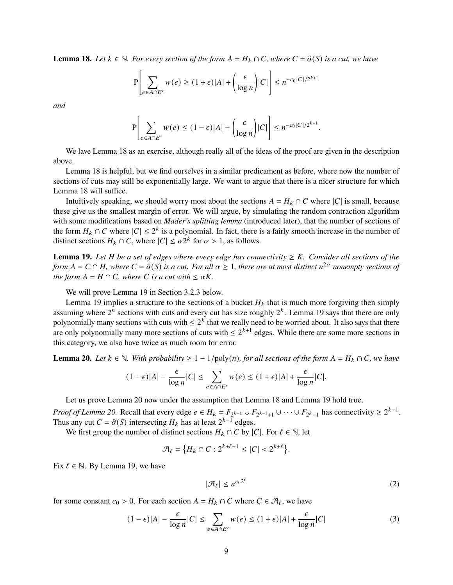<span id="page-8-0"></span>**Lemma 18.** *Let*  $k \in \mathbb{N}$ *. For every section of the form*  $A = H_k \cap C$ *, where*  $C = \partial(S)$  *is a cut, we have* 

$$
\mathbb{P}\left[\sum_{e \in A \cap E'} w(e) \ge (1+\epsilon)|A| + \left(\frac{\epsilon}{\log n}\right)|C|\right] \le n^{-c_0|C|/2^{k+1}}
$$

*and*

$$
\mathbf{P}\left[\sum_{e\in A\cap E'} w(e) \leq (1-\epsilon)|A| - \left(\frac{\epsilon}{\log n}\right)|C|\right] \leq n^{-c_0|C|/2^{k+1}}.
$$

We lave [Lemma 18](#page-8-0) as an exercise, although really all of the ideas of the proof are given in the description above.

[Lemma 18](#page-8-0) is helpful, but we find ourselves in a similar predicament as before, where now the number of sections of cuts may still be exponentially large. We want to argue that there is a nicer structure for which [Lemma 18](#page-8-0) will suffice.

Intuitively speaking, we should worry most about the sections  $A = H_k \cap C$  where  $|C|$  is small, because these give us the smallest margin of error. We will argue, by simulating the random contraction algorithm with some modifications based on *Mader's splitting lemma* (introduced later), that the number of sections of the form  $H_k \cap C$  where  $|C| \leq 2^k$  is a polynomial. In fact, there is a fairly smooth increase in the number of distinct sections  $H_k \cap C$ , where  $|C| \leq \alpha 2^k$  for  $\alpha > 1$ , as follows.

<span id="page-8-1"></span>**Lemma 19.** Let  $H$  be a set of edges where every edge has connectivity  $\geq K$ . Consider all sections of the *form*  $A = C \cap H$ *, where*  $C = \partial(S)$  *is a cut. For all*  $\alpha \geq 1$ *, there are at most distinct*  $n^{2\alpha}$  *nonempty sections of the form*  $A = H \cap C$ *, where C is a cut with*  $\leq \alpha K$ *.* 

We will prove [Lemma 19](#page-8-1) in [Section 3.2.3](#page-9-0) below.

[Lemma 19](#page-8-1) implies a structure to the sections of a bucket  $H_k$  that is much more forgiving then simply assuming where  $2^n$  sections with cuts and every cut has size roughly  $2^k$ . [Lemma 19](#page-8-1) says that there are only polynomially many sections with cuts with  $\leq 2^k$  that we really need to be worried about. It also says that there are only polynomially many more sections of cuts with  $\leq 2^{k+1}$  edges. While there are some more sections in this category, we also have twice as much room for error.

<span id="page-8-2"></span>**Lemma 20.** *Let*  $k \in \mathbb{N}$ *. With probability* ≥ 1 – 1/poly(*n*)*, for all sections of the form*  $A = H_k \cap C$ *, we have* 

$$
(1-\epsilon)|A| - \frac{\epsilon}{\log n}|C| \le \sum_{e \in A \cap E'} w(e) \le (1+\epsilon)|A| + \frac{\epsilon}{\log n}|C|.
$$

Let us prove [Lemma 20](#page-8-2) now under the assumption that [Lemma 18](#page-8-0) and [Lemma 19](#page-8-1) hold true.

*Proof of [Lemma 20.](#page-8-2)* Recall that every edge  $e \in H_k = F_{2^{k-1}} \cup F_{2^{k-1}+1} \cup \cdots \cup F_{2^k-1}$  has connectivity  $\geq 2^{k-1}$ . Thus any cut  $C = \partial(S)$  intersecting  $H_k$  has at least  $2^{k-1}$  edges.

We first group the number of distinct sections  $H_k \cap C$  by  $|C|$ . For  $\ell \in \mathbb{N}$ , let

 $\mathcal{A}_{\ell} = \{H_k \cap C : 2^{k+\ell-1} \leq |C| < 2^{k+\ell}\}.$ 

Fix  $\ell \in \mathbb{N}$ . By [Lemma 19,](#page-8-1) we have

$$
|\mathcal{A}_{\ell}| \le n^{c_0 2^{\ell}} \tag{2}
$$

for some constant  $c_0 > 0$ . For each section  $A = H_k \cap C$  where  $C \in \mathcal{A}_{\ell}$ , we have

$$
(1 - \epsilon)|A| - \frac{\epsilon}{\log n}|C| \le \sum_{e \in A \cap E'} w(e) \le (1 + \epsilon)|A| + \frac{\epsilon}{\log n}|C| \tag{3}
$$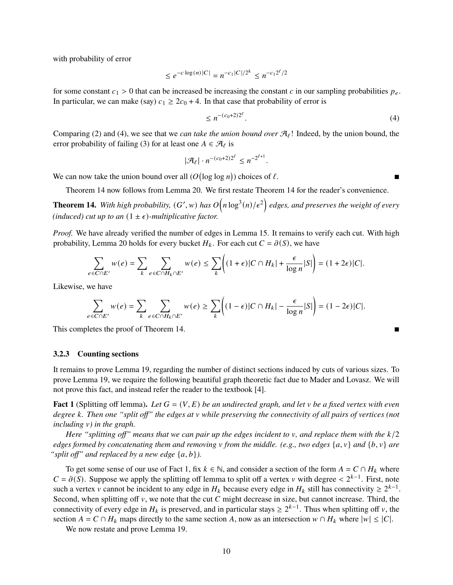with probability of error

$$
\leq e^{-c\log(n)|C|} = n^{-c_1|C|/2^k} \leq n^{-c_1 2^{\ell}/2}
$$

for some constant  $c_1 > 0$  that can be increased be increasing the constant c in our sampling probabilities  $p_e$ . In particular, we can make (say)  $c_1 \geq 2c_0 + 4$ . In that case that probability of error is

$$
\leq n^{-(c_0+2)2^{\ell}}.\tag{4}
$$

Comparing [\(2\)](#page-8-2) and [\(4\),](#page-8-2) we see that we *can take the union bound over*  $\mathcal{A}_{\ell}$ ! Indeed, by the union bound, the error probability of failing [\(3\)](#page-8-2) for at least one  $A \in \mathcal{A}_{\ell}$  is

$$
|\mathcal{A}_{\ell}| \cdot n^{-(c_0+2)2^{\ell}} \leq n^{-2^{\ell+1}}.
$$

We can now take the union bound over all  $(O(\log \log n))$  choices of  $\ell$ .

[Theorem 14](#page-6-0) now follows from [Lemma 20.](#page-8-2) We first restate [Theorem 14](#page-6-0) for the reader's convenience.

**Theorem 14.** With high probability,  $(G', w)$  has  $O(n \log^3(n)/\epsilon^2)$  edges, and preserves the weight of every *(induced) cut up to an*  $(1 \pm \epsilon)$ *-multiplicative factor.* 

*Proof.* We have already verified the number of edges in [Lemma 15.](#page-6-2) It remains to verify each cut. With high probability, [Lemma 20](#page-8-2) holds for every bucket  $H_k$ . For each cut  $C = \partial(S)$ , we have

$$
\sum_{e \in C \cap E'} w(e) = \sum_{k} \sum_{e \in C \cap H_k \cap E'} w(e) \leq \sum_{k} \left( (1 + \epsilon) |C \cap H_k| + \frac{\epsilon}{\log n} |S| \right) = (1 + 2\epsilon) |C|.
$$

Likewise, we have

$$
\sum_{e \in C \cap E'} w(e) = \sum_{k} \sum_{e \in C \cap H_k \cap E'} w(e) \ge \sum_{k} \left( (1 - \epsilon) |C \cap H_k| - \frac{\epsilon}{\log n} |S| \right) = (1 - 2\epsilon) |C|.
$$

This completes the proof of [Theorem 14.](#page-6-0)

#### <span id="page-9-0"></span>**3.2.3 Counting sections**

It remains to prove [Lemma 19,](#page-8-1) regarding the number of distinct sections induced by cuts of various sizes. To prove [Lemma 19,](#page-8-1) we require the following beautiful graph theoretic fact due to Mader and Lovasz. We will not prove this fact, and instead refer the reader to the textbook [\[4\]](#page-15-3).

<span id="page-9-1"></span>**Fact 1** (Splitting off lemma). Let  $G = (V, E)$  be an undirected graph, and let v be a fixed vertex with even *degree* 𝑘*. Then one "split off" the edges at* 𝑣 *while preserving the connectivity of all pairs of vertices (not including*  $\nu$ *) in the graph.* 

*Here "splitting off" means that we can pair up the edges incident to*  $\nu$ *, and replace them with the*  $k/2$ *edges formed by concatenating them and removing v from the middle. (e.g., two edges*  $\{a, v\}$  *and*  $\{b, v\}$  *are "split off" and replaced by a new edge*  $\{a, b\}$ *).* 

To get some sense of our use of [Fact 1,](#page-9-1) fix  $k \in \mathbb{N}$ , and consider a section of the form  $A = C \cap H_k$  where  $C = \partial(S)$ . Suppose we apply the splitting off lemma to split off a vertex v with degree <  $2^{k-1}$ . First, note such a vertex v cannot be incident to any edge in  $H_k$  because every edge in  $H_k$  still has connectivity  $\geq 2^{k-1}$ . Second, when splitting off  $v$ , we note that the cut  $C$  might decrease in size, but cannot increase. Third, the connectivity of every edge in  $H_k$  is preserved, and in particular stays  $\geq 2^{k-1}$ . Thus when splitting off v, the section  $A = C \cap H_k$  maps directly to the same section A, now as an intersection  $w \cap H_k$  where  $|w| \leq |C|$ .

We now restate and prove [Lemma 19.](#page-8-1)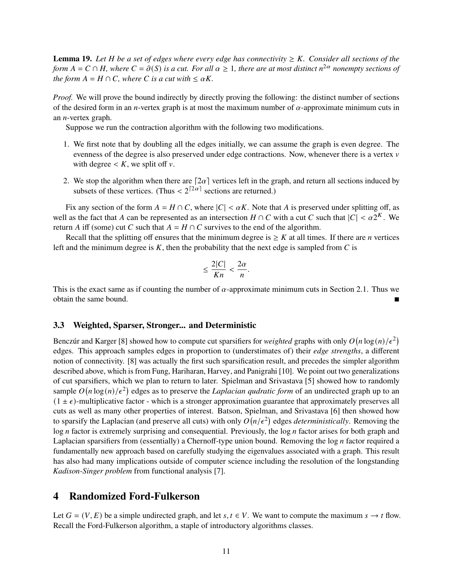**Lemma 19.** Let  $H$  be a set of edges where every edge has connectivity  $\geq K$ . Consider all sections of the *form*  $A = C \cap H$ *, where*  $C = \partial(S)$  *is a cut. For all*  $\alpha \geq 1$ *, there are at most distinct*  $n^{2\alpha}$  *nonempty sections of the form*  $A = H \cap C$ *, where*  $C$  *is a cut with*  $\leq \alpha K$ *.* 

*Proof.* We will prove the bound indirectly by directly proving the following: the distinct number of sections of the desired form in an *n*-vertex graph is at most the maximum number of  $\alpha$ -approximate minimum cuts in an  $n$ -vertex graph.

Suppose we run the contraction algorithm with the following two modifications.

- 1. We first note that by doubling all the edges initially, we can assume the graph is even degree. The evenness of the degree is also preserved under edge contractions. Now, whenever there is a vertex  $v$ with degree  $\lt K$ , we split off  $\nu$ .
- 2. We stop the algorithm when there are  $[2\alpha]$  vertices left in the graph, and return all sections induced by subsets of these vertices. (Thus  $\lt 2^{\lceil 2\alpha \rceil}$  sections are returned.)

Fix any section of the form  $A = H \cap C$ , where  $|C| < \alpha K$ . Note that A is preserved under splitting off, as well as the fact that A can be represented as an intersection  $H \cap C$  with a cut C such that  $|C| < \alpha 2^{K}$ . We return A iff (some) cut C such that  $A = H \cap C$  survives to the end of the algorithm.

Recall that the splitting off ensures that the minimum degree is  $\geq K$  at all times. If there are *n* vertices left and the minimum degree is  $K$ , then the probability that the next edge is sampled from  $C$  is

$$
\leq \frac{2|C|}{Kn} < \frac{2\alpha}{n}.
$$

This is the exact same as if counting the number of  $\alpha$ -approximate minimum cuts in [Section 2.1.](#page-3-0) Thus we obtain the same bound.

#### <span id="page-10-0"></span>**3.3 Weighted, Sparser, Stronger... and Deterministic**

Benczúr and Karger [\[8\]](#page-16-0) showed how to compute cut sparsifiers for *weighted* graphs with only  $O(n \log(n)/\epsilon^2)$ edges. This approach samples edges in proportion to (understimates of) their *edge strengths*, a different notion of connectivity. [\[8\]](#page-16-0) was actually the first such sparsification result, and precedes the simpler algorithm described above, which is from Fung, Hariharan, Harvey, and Panigrahi [\[10\]](#page-16-1). We point out two generalizations of cut sparsifiers, which we plan to return to later. Spielman and Srivastava [\[5\]](#page-16-2) showed how to randomly sample  $O(n \log(n)/\epsilon^2)$  edges as to preserve the *Laplacian qudratic form* of an undirected graph up to an  $(1 \pm \epsilon)$ -multiplicative factor - which is a stronger approximation guarantee that approximately preserves all cuts as well as many other properties of interest. Batson, Spielman, and Srivastava [\[6\]](#page-16-3) then showed how to sparsify the Laplacian (and preserve all cuts) with only  $O(n/\epsilon^2)$  edges *deterministically*. Removing the  $\log n$  factor is extremely surprising and consequential. Previously, the  $\log n$  factor arises for both graph and Laplacian sparsifiers from (essentially) a Chernoff-type union bound. Removing the  $log n$  factor required a fundamentally new approach based on carefully studying the eigenvalues associated with a graph. This result has also had many implications outside of computer science including the resolution of the longstanding *Kadison-Singer problem* from functional analysis [\[7\]](#page-16-4).

### **4 Randomized Ford-Fulkerson**

Let  $G = (V, E)$  be a simple undirected graph, and let  $s, t \in V$ . We want to compute the maximum  $s \to t$  flow. Recall the Ford-Fulkerson algorithm, a staple of introductory algorithms classes.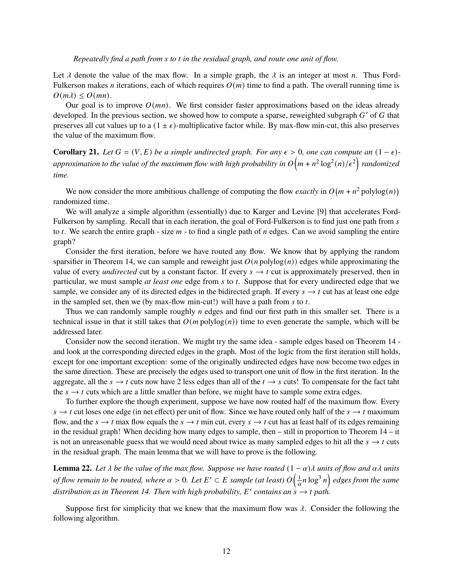#### *Repeatedly find a path from s to t in the residual graph, and route one unit of flow.*

Let  $\lambda$  denote the value of the max flow. In a simple graph, the  $\lambda$  is an integer at most *n*. Thus Ford-Fulkerson makes *n* iterations, each of which requires  $O(m)$  time to find a path. The overall running time is  $O(m\lambda) \leq O(mn)$ .

Our goal is to improve  $O(mn)$ . We first consider faster approximations based on the ideas already developed. In the previous section, we showed how to compute a sparse, reweighted subgraph  $G'$  of  $G$  that preserves all cut values up to a  $(1 \pm \epsilon)$ -multiplicative factor while. By max-flow min-cut, this also preserves the value of the maximum flow.

**Corollary 21.** *Let*  $G = (V, E)$  *be a simple undirected graph. For any*  $\epsilon > 0$ *, one can compute an*  $(1 - \epsilon)$ approximation to the value of the maximum flow with high probability in  $O\big(m + n^2\log^2(n)/\epsilon^2\big)$  randomized *time.*

We now consider the more ambitious challenge of computing the flow *exactly* in  $O(m + n^2 \text{ polylog}(n))$ randomized time.

We will analyze a simple algorithm (essentially) due to Karger and Levine [\[9\]](#page-16-5) that accelerates Ford-Fulkerson by sampling. Recall that in each iteration, the goal of Ford-Fulkerson is to find just one path from  $s$ to  $t$ . We search the entire graph - size  $m$  - to find a single path of  $n$  edges. Can we avoid sampling the entire graph?

Consider the first iteration, before we have routed any flow. We know that by applying the random sparsifier in [Theorem 14,](#page-6-0) we can sample and reweight just  $O(n \text{ polylog}(n))$  edges while approximating the value of every *undirected* cut by a constant factor. If every  $s \rightarrow t$  cut is approximately preserved, then in particular, we must sample *at least one* edge from *s* to *t*. Suppose that for every undirected edge that we sample, we consider any of its directed edges in the bidirected graph. If every  $s \to t$  cut has at least one edge in the sampled set, then we (by max-flow min-cut!) will have a path from  $s$  to  $t$ .

Thus we can randomly sample roughly  $n$  edges and find our first path in this smaller set. There is a technical issue in that it still takes that  $O(m \text{ polylog}(n))$  time to even generate the sample, which will be addressed later.

Consider now the second iteration. We might try the same idea - sample edges based on [Theorem 14](#page-6-0) and look at the corresponding directed edges in the graph. Most of the logic from the first iteration still holds, except for one important exception: some of the originally undirected edges have now become two edges in the same direction. These are precisely the edges used to transport one unit of flow in the first iteration. In the aggregate, all the  $s \to t$  cuts now have 2 less edges than all of the  $t \to s$  cuts! To compensate for the fact taht the  $s \rightarrow t$  cuts which are a little smaller than before, we might have to sample some extra edges.

To further explore the though experiment, suppose we have now routed half of the maximum flow. Every  $s \to t$  cut loses one edge (in net effect) per unit of flow. Since we have routed only half of the  $s \to t$  maximum flow, and the  $s \to t$  max flow equals the  $s \to t$  min cut, every  $s \to t$  cut has at least half of its edges remaining in the residual graph! When deciding how many edges to sample, then – still in proportion to [Theorem 14](#page-6-0) – it is not an unreasonable guess that we would need about twice as many sampled edges to hit all the  $s \rightarrow t$  cuts in the residual graph. The main lemma that we will have to prove is the following.

<span id="page-11-0"></span>**Lemma 22.** Let  $\lambda$  be the value of the max flow. Suppose we have routed  $(1 - \alpha)\lambda$  units of flow and  $\alpha\lambda$  units of flow remain to be routed, where  $\alpha > 0$ . Let  $E' \subset E$  sample (at least)  $O\Big(\frac{1}{\alpha}n\log^3 n\Big)$  edges from the same distribution as in [Theorem 14.](#page-6-0) Then with high probability, E' contains an  $\dot{s} \rightarrow t$  path.

Suppose first for simplicity that we knew that the maximum flow was  $\lambda$ . Consider the following the following algorithm.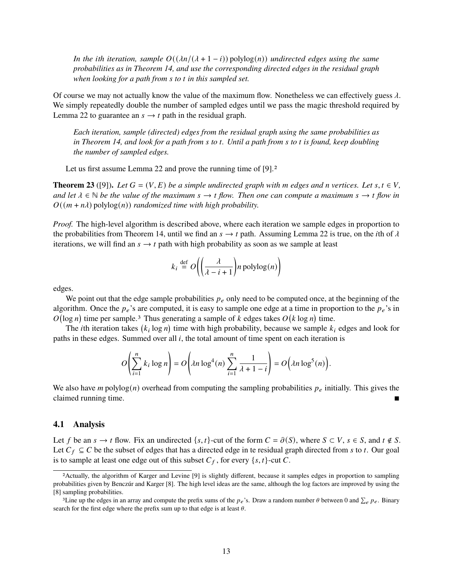*In the ith iteration, sample*  $O((\lambda n/(\lambda + 1 - i))$  polylog(*n*)) *undirected edges using the same probabilities as in [Theorem 14,](#page-6-0) and use the corresponding directed edges in the residual graph when looking for a path from s to t in this sampled set.* 

Of course we may not actually know the value of the maximum flow. Nonetheless we can effectively guess  $\lambda$ . We simply repeatedly double the number of sampled edges until we pass the magic threshold required by [Lemma 22](#page-11-0) to guarantee an  $s \rightarrow t$  path in the residual graph.

*Each iteration, sample (directed) edges from the residual graph using the same probabilities as in* [Theorem 14,](#page-6-0) and look for a path from s to t. Until a path from s to t is found, keep doubling *the number of sampled edges.*

Let us first assume [Lemma 22](#page-11-0) and prove the running time of [\[9\]](#page-16-5).<sup>[2](#page-0-1)</sup>

**Theorem 23** ([\[9\]](#page-16-5)). Let  $G = (V, E)$  be a simple undirected graph with m edges and n vertices. Let  $s, t \in V$ , and let  $\lambda \in \mathbb{N}$  be the value of the maximum  $s \to t$  flow. Then one can compute a maximum  $s \to t$  flow in  $O((m + n\lambda)$  polylog $(n)$ ) *randomized time with high probability.* 

*Proof.* The high-level algorithm is described above, where each iteration we sample edges in proportion to the probabilities from [Theorem 14,](#page-6-0) until we find an  $s \to t$  path. Assuming [Lemma 22](#page-11-0) is true, on the *i*th of  $\lambda$ iterations, we will find an  $s \to t$  path with high probability as soon as we sample at least

$$
k_i \stackrel{\text{def}}{=} O\left(\left(\frac{\lambda}{\lambda - i + 1}\right) n \text{ polylog}(n)\right)
$$

edges.

We point out that the edge sample probabilities  $p_e$  only need to be computed once, at the beginning of the algorithm. Once the  $p_e$ 's are computed, it is easy to sample one edge at a time in proportion to the  $p_e$ 's in  $O(\log n)$  time per sample.<sup>[3](#page-0-1)</sup> Thus generating a sample of k edges takes  $O(k \log n)$  time.

The *i*th iteration takes  $(k_i \log n)$  time with high probability, because we sample  $k_i$  edges and look for paths in these edges. Summed over all  $i$ , the total amount of time spent on each iteration is

$$
O\left(\sum_{i=1}^n k_i \log n\right) = O\left(\lambda n \log^4(n) \sum_{i=1}^n \frac{1}{\lambda + 1 - i}\right) = O\left(\lambda n \log^5(n)\right).
$$

We also have *m* polylog(*n*) overhead from computing the sampling probabilities  $p_e$  initially. This gives the claimed running time.

#### **4.1 Analysis**

Let f be an  $s \to t$  flow. Fix an undirected  $\{s, t\}$ -cut of the form  $C = \partial(S)$ , where  $S \subset V$ ,  $s \in S$ , and  $t \notin S$ . Let  $C_f \subseteq C$  be the subset of edges that has a directed edge in te residual graph directed from s to t. Our goal is to sample at least one edge out of this subset  $C_f$ , for every  $\{s, t\}$ -cut C.

<sup>2</sup>Actually, the algorithm of Karger and Levine [\[9\]](#page-16-5) is slightly different, because it samples edges in proportion to sampling probabilities given by Benczúr and Karger [\[8\]](#page-16-0). The high level ideas are the same, although the log factors are improved by using the [\[8\]](#page-16-0) sampling probabilities.

<sup>&</sup>lt;sup>3</sup>Line up the edges in an array and compute the prefix sums of the  $p_e$ 's. Draw a random number  $\theta$  between 0 and  $\sum_e p_e$ . Binary search for the first edge where the prefix sum up to that edge is at least  $\theta$ .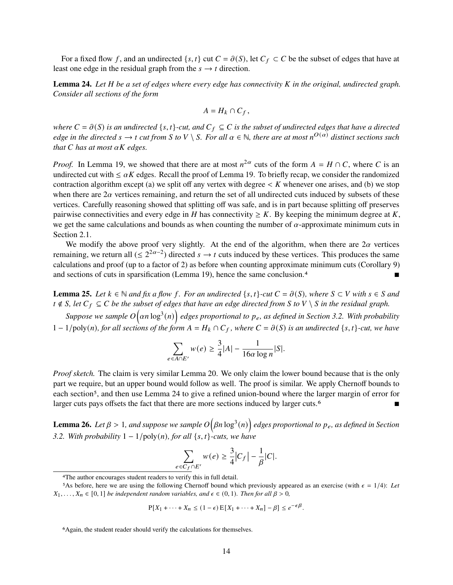For a fixed flow f, and an undirected  $\{s, t\}$  cut  $C = \partial(S)$ , let  $C_f \subset C$  be the subset of edges that have at least one edge in the residual graph from the  $s \rightarrow t$  direction.

<span id="page-13-0"></span>Lemma 24. Let H be a set of edges where every edge has connectivity K in the original, undirected graph. *Consider all sections of the form*

$$
A=H_k\cap C_f,
$$

*where*  $C = \partial(S)$  *is an undirected*  $\{s, t\}$ -cut, and  $C_f \subseteq C$  *is the subset of undirected edges that have a directed edge in the directed*  $s \to t$  *cut from* S to V \ S. For all  $\alpha \in \mathbb{N}$ , there are at most  $n^{O(\alpha)}$  distinct sections such *that*  $C$  *has at most*  $\alpha K$  *edges.* 

*Proof.* In [Lemma 19,](#page-8-1) we showed that there are at most  $n^{2\alpha}$  cuts of the form  $A = H \cap C$ , where C is an undirected cut with  $\leq \alpha K$  edges. Recall the proof of [Lemma 19.](#page-8-1) To briefly recap, we consider the randomized contraction algorithm except (a) we split off any vertex with degree  $\lt K$  whenever one arises, and (b) we stop when there are  $2\alpha$  vertices remaining, and return the set of all undirected cuts induced by subsets of these vertices. Carefully reasoning showed that splitting off was safe, and is in part because splitting off preserves pairwise connectivities and every edge in H has connectivity  $\geq K$ . By keeping the minimum degree at K, we get the same calculations and bounds as when counting the number of  $\alpha$ -approximate minimum cuts in [Section 2.1.](#page-3-0)

We modify the above proof very slightly. At the end of the algorithm, when there are  $2\alpha$  vertices remaining, we return all  $( \leq 2^{2\alpha-2} )$  directed  $s \to t$  cuts induced by these vertices. This produces the same calculations and proof (up to a factor of 2) as before when counting approximate minimum cuts [\(Corollary 9\)](#page-4-0) and sections of cuts in sparsification [\(Lemma 19\)](#page-8-1), hence the same conclusion.[4](#page-0-1)

**Lemma 25.** Let  $k \in \mathbb{N}$  and fix a flow f. For an undirected  $\{s, t\}$ -cut  $C = \partial(S)$ , where  $S \subset V$  with  $s \in S$  and *t* ∉ *S*, let  $C_f \subseteq C$  *be the subset of edges that have an edge directed from S to V*  $\setminus$  *S in the residual graph.* 

Suppose we sample  $O(\alpha n \log^3(n))$  edges proportional to  $p_e$ , as defined in [Section 3.2.](#page-5-2) With probability  $1 - 1$ /poly(n), for all sections of the form  $A = H_k \cap C_f$ , where  $C = \partial(S)$  is an undirected  $\{s, t\}$ -cut, we have

$$
\sum_{e \in A \cap E'} w(e) \ge \frac{3}{4}|A| - \frac{1}{16\alpha \log n}|S|.
$$

*Proof sketch.* The claim is very similar [Lemma 20.](#page-8-2) We only claim the lower bound because that is the only part we require, but an upper bound would follow as well. The proof is similar. We apply Chernoff bounds to each section<sup>[5](#page-0-1)</sup>, and then use [Lemma 24](#page-13-0) to give a refined union-bound where the larger margin of error for larger cuts pays offsets the fact that there are more sections induced by larger cuts.[6](#page-0-1)

<span id="page-13-1"></span>Lemma 26. Let  $\beta > 1$ , and suppose we sample  $O(\beta n \log^3(n))$  edges proportional to  $p_e$ , as defined in [Section](#page-5-2) *[3.2.](#page-5-2)* With probability  $1 - 1/\text{poly}(n)$ , for all  $\{s, t\}$ -cuts, we have

$$
\sum_{e \in C_f \cap E'} w(e) \ge \frac{3}{4} |C_f| - \frac{1}{\beta} |C|.
$$

$$
P[X_1 + \cdots + X_n \le (1 - \epsilon) E[X_1 + \cdots + X_n] - \beta] \le e^{-\epsilon \beta}.
$$

<sup>4</sup>The author encourages student readers to verify this in full detail.

<sup>&</sup>lt;sup>5</sup>As before, here we are using the following Chernoff bound which previously appeared as an exercise (with  $\epsilon = 1/4$ ): Let  $X_1, \ldots, X_n$  ∈ [0, 1] *be independent random variables, and*  $\epsilon$  ∈ (0, 1)*. Then for all*  $\beta > 0$ *,* 

<sup>6</sup>Again, the student reader should verify the calculations for themselves.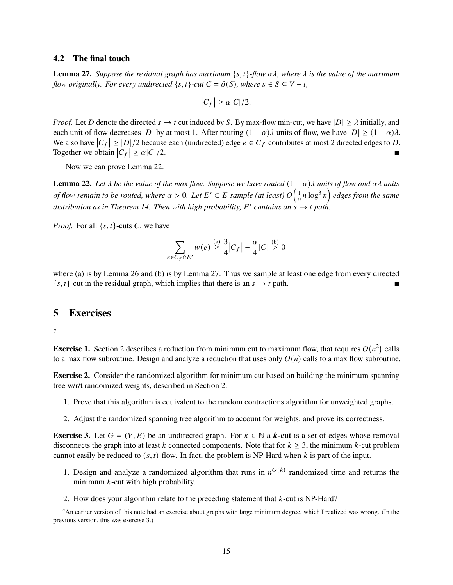#### **4.2 The final touch**

<span id="page-14-2"></span>**Lemma 27.** Suppose the residual graph has maximum {s, t}-flow  $\alpha\lambda$ , where  $\lambda$  is the value of the maximum *flow originally. For every undirected*  $\{s, t\}$ *-cut*  $C = \partial(S)$ *, where*  $s \in S \subseteq V - t$ *,* 

$$
|C_f| \ge \alpha |C|/2.
$$

*Proof.* Let D denote the directed  $s \to t$  cut induced by S. By max-flow min-cut, we have  $|D| \ge \lambda$  initially, and each unit of flow decreases |D| by at most 1. After routing  $(1 - \alpha)\lambda$  units of flow, we have  $|D| \ge (1 - \alpha)\lambda$ . We also have  $|C_f| \geq |D|/2$  because each (undirected) edge  $e \in C_f$  contributes at most 2 directed edges to D. Together we obtain  $|C_f|$  $\geq \alpha |C|/2.$ 

Now we can prove [Lemma 22.](#page-11-0)

**Lemma 22.** Let  $\lambda$  be the value of the max flow. Suppose we have routed  $(1 - \alpha)\lambda$  units of flow and  $\alpha\lambda$  units of flow remain to be routed, where  $\alpha > 0$ . Let  $E' \subset E$  sample (at least)  $O\Big(\frac{1}{\alpha}n\log^3 n\Big)$  edges from the same distribution as in [Theorem 14.](#page-6-0) Then with high probability, E' contains an  $\dot{s} \to t$  path.

*Proof.* For all  $\{s, t\}$ -cuts C, we have

$$
\sum_{e \in C_f \cap E'} w(e) \stackrel{\text{(a)}}{\geq} \frac{3}{4} |C_f| - \frac{\alpha}{4} |C| \stackrel{\text{(b)}}{>} 0
$$

where (a) is by [Lemma 26](#page-13-1) and (b) is by [Lemma 27.](#page-14-2) Thus we sample at least one edge from every directed  $\{s, t\}$ -cut in the residual graph, which implies that there is an  $s \rightarrow t$  path.

### **5 Exercises**

[7](#page-0-1)

<span id="page-14-0"></span>**Exercise 1.** [Section 2](#page-0-2) describes a reduction from minimum cut to maximum flow, that requires  $O(n^2)$  calls to a max flow subroutine. Design and analyze a reduction that uses only  $O(n)$  calls to a max flow subroutine.

<span id="page-14-1"></span>**Exercise 2.** Consider the randomized algorithm for minimum cut based on building the minimum spanning tree w/r/t randomized weights, described in [Section 2.](#page-0-2)

- 1. Prove that this algorithm is equivalent to the random contractions algorithm for unweighted graphs.
- 2. Adjust the randomized spanning tree algorithm to account for weights, and prove its correctness.

**Exercise 3.** Let  $G = (V, E)$  be an undirected graph. For  $k \in \mathbb{N}$  a **k-cut** is a set of edges whose removal disconnects the graph into at least k connected components. Note that for  $k \geq 3$ , the minimum k-cut problem cannot easily be reduced to  $(s, t)$ -flow. In fact, the problem is NP-Hard when k is part of the input.

- 1. Design and analyze a randomized algorithm that runs in  $n^{O(k)}$  randomized time and returns the minimum  $k$ -cut with high probability.
- 2. How does your algorithm relate to the preceding statement that  $k$ -cut is NP-Hard?

<sup>7</sup>An earlier version of this note had an exercise about graphs with large minimum degree, which I realized was wrong. (In the previous version, this was exercise 3.)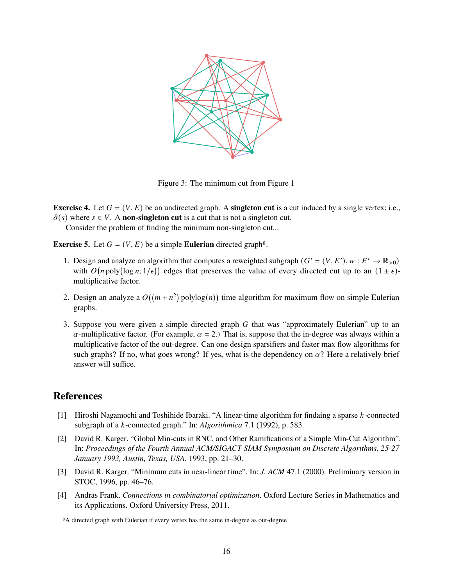

Figure 3: The minimum cut from [Figure 1](#page-0-0)

**Exercise 4.** Let  $G = (V, E)$  be an undirected graph. A **singleton cut** is a cut induced by a single vertex; i.e.,  $\partial(s)$  where  $s \in V$ . A **non-singleton cut** is a cut that is not a singleton cut.

Consider the problem of finding the minimum non-singleton cut...

**Exercise 5.** Let  $G = (V, E)$  be a simple **Eulerian** directed graph<sup>[8](#page-0-1)</sup>.

- 1. Design and analyze an algorithm that computes a reweighted subgraph  $(G' = (V, E'), w : E' \to \mathbb{R}_{>0})$ with  $O(n \text{ poly}(\log n, 1/\epsilon))$  edges that preserves the value of every directed cut up to an  $(1 \pm \epsilon)$ multiplicative factor.
- 2. Design an analyze a  $O((m + n^2)$  polylog $(n)$ ) time algorithm for maximum flow on simple Eulerian graphs.
- 3. Suppose you were given a simple directed graph  $G$  that was "approximately Eulerian" up to an  $\alpha$ -multiplicative factor. (For example,  $\alpha = 2$ .) That is, suppose that the in-degree was always within a multiplicative factor of the out-degree. Can one design sparsifiers and faster max flow algorithms for such graphs? If no, what goes wrong? If yes, what is the dependency on  $\alpha$ ? Here a relatively brief answer will suffice.

## **References**

- <span id="page-15-2"></span>[1] Hiroshi Nagamochi and Toshihide Ibaraki. "A linear-time algorithm for findaing a sparse k-connected subgraph of a *k*-connected graph." In: *Algorithmica* 7.1 (1992), p. 583.
- <span id="page-15-0"></span>[2] David R. Karger. "Global Min-cuts in RNC, and Other Ramifications of a Simple Min-Cut Algorithm". In: *Proceedings of the Fourth Annual ACM/SIGACT-SIAM Symposium on Discrete Algorithms, 25-27 January 1993, Austin, Texas, USA.* 1993, pp. 21–30.
- <span id="page-15-1"></span>[3] David R. Karger. "Minimum cuts in near-linear time". In: *J. ACM* 47.1 (2000). Preliminary version in STOC, 1996, pp. 46–76.
- <span id="page-15-3"></span>[4] Andras Frank. *Connections in combinatorial optimization*. Oxford Lecture Series in Mathematics and its Applications. Oxford University Press, 2011.

<sup>8</sup>A directed graph with Eulerian if every vertex has the same in-degree as out-degree